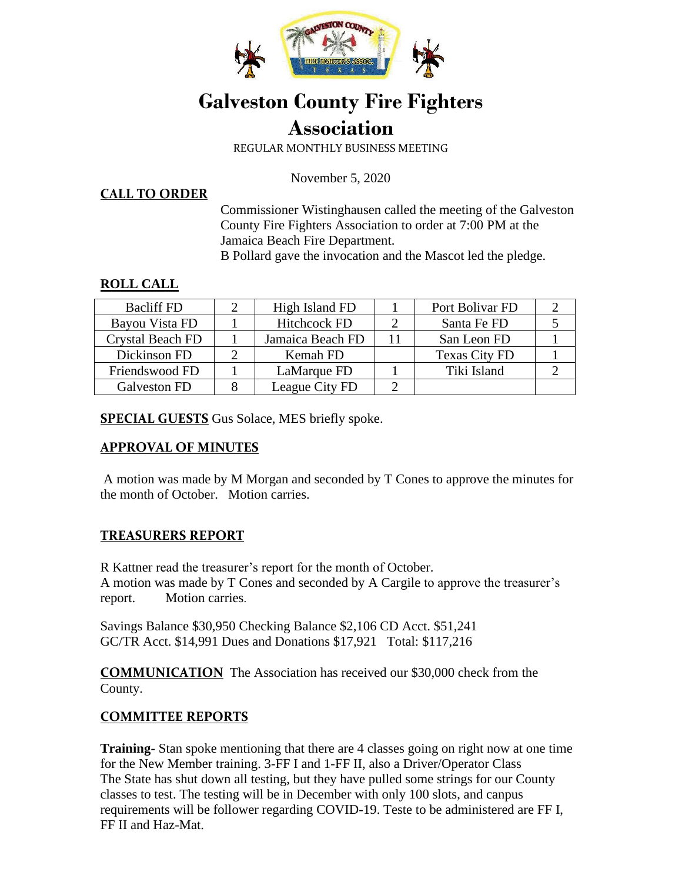

# **Galveston County Fire Fighters Association**

REGULAR MONTHLY BUSINESS MEETING

November 5, 2020

**CALL TO ORDER**

Commissioner Wistinghausen called the meeting of the Galveston County Fire Fighters Association to order at 7:00 PM at the Jamaica Beach Fire Department.

B Pollard gave the invocation and the Mascot led the pledge.

#### **ROLL CALL**

| <b>Bacliff FD</b> | High Island FD      |    | Port Bolivar FD      |  |
|-------------------|---------------------|----|----------------------|--|
| Bayou Vista FD    | <b>Hitchcock FD</b> |    | Santa Fe FD          |  |
| Crystal Beach FD  | Jamaica Beach FD    | 11 | San Leon FD          |  |
| Dickinson FD      | Kemah FD            |    | <b>Texas City FD</b> |  |
| Friendswood FD    | LaMarque FD         |    | Tiki Island          |  |
| Galveston FD      | League City FD      |    |                      |  |

**SPECIAL GUESTS** Gus Solace, MES briefly spoke.

## **APPROVAL OF MINUTES**

A motion was made by M Morgan and seconded by T Cones to approve the minutes for the month of October. Motion carries.

## **TREASURERS REPORT**

R Kattner read the treasurer's report for the month of October. A motion was made by T Cones and seconded by A Cargile to approve the treasurer's report. Motion carries.

Savings Balance \$30,950 Checking Balance \$2,106 CD Acct. \$51,241 GC/TR Acct. \$14,991 Dues and Donations \$17,921 Total: \$117,216

**COMMUNICATION** The Association has received our \$30,000 check from the County.

## **COMMITTEE REPORTS**

**Training-** Stan spoke mentioning that there are 4 classes going on right now at one time for the New Member training. 3-FF I and 1-FF II, also a Driver/Operator Class The State has shut down all testing, but they have pulled some strings for our County classes to test. The testing will be in December with only 100 slots, and canpus requirements will be follower regarding COVID-19. Teste to be administered are FF I, FF II and Haz-Mat.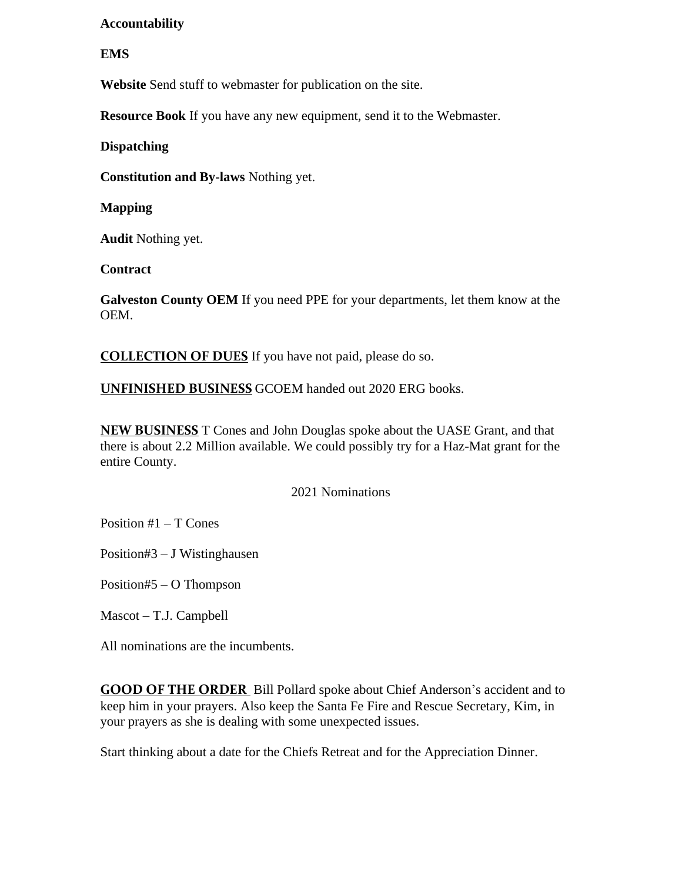#### **Accountability**

#### **EMS**

**Website** Send stuff to webmaster for publication on the site.

**Resource Book** If you have any new equipment, send it to the Webmaster.

**Dispatching** 

**Constitution and By-laws** Nothing yet.

**Mapping** 

**Audit** Nothing yet.

**Contract** 

**Galveston County OEM** If you need PPE for your departments, let them know at the OEM.

**COLLECTION OF DUES** If you have not paid, please do so.

**UNFINISHED BUSINESS** GCOEM handed out 2020 ERG books.

**NEW BUSINESS** T Cones and John Douglas spoke about the UASE Grant, and that there is about 2.2 Million available. We could possibly try for a Haz-Mat grant for the entire County.

2021 Nominations

Position #1 – T Cones

Position#3 – J Wistinghausen

Position#5 – O Thompson

Mascot – T.J. Campbell

All nominations are the incumbents.

**GOOD OF THE ORDER** Bill Pollard spoke about Chief Anderson's accident and to keep him in your prayers. Also keep the Santa Fe Fire and Rescue Secretary, Kim, in your prayers as she is dealing with some unexpected issues.

Start thinking about a date for the Chiefs Retreat and for the Appreciation Dinner.